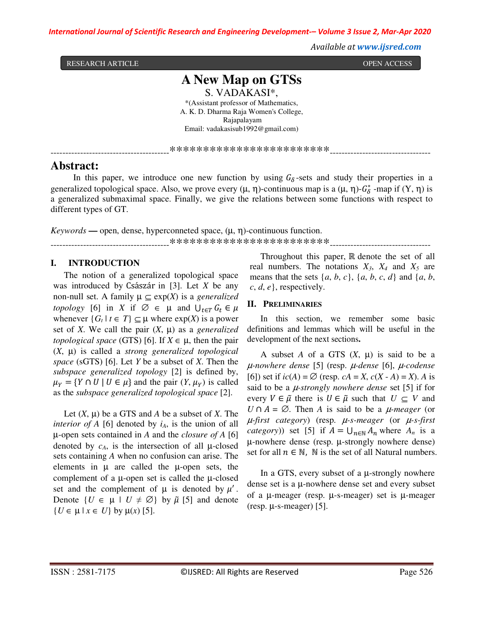*International Journal of Scientific Research and Engineering Development-– Volume 3 Issue 2, Mar-Apr 2020*

 *Available at www.ijsred.com* 

RESEARCH ARTICLE **OPEN ACCESS** 

**A New Map on GTSs** S. VADAKASI\*, \*(Assistant professor of Mathematics, A. K. D. Dharma Raja Women's College, Rajapalayam Email: vadakasisub1992@gmail.com)

\*\*\*\*\*\*\*\*\*\*\*\*\*\*\*\*\*\*\*\*\*\*\*\*\*\*\*\*

### **Abstract:**

In this paper, we introduce one new function by using  $G_{\delta}$ -sets and study their properties in a generalized topological space. Also, we prove every  $(\mu, \eta)$ -continuous map is a  $(\mu, \eta)$ - $G^*_{\delta}$ -map if  $(Y, \eta)$  is a generalized submaximal space. Finally, we give the relations between some functions with respect to different types of GT.

 $Keywords \rightarrow$  open, dense, hyperconneted space,  $(\mu, \eta)$ -continuous function. ----------------------------------------\*\*\*\*\*\*\*\*\*\*\*\*\*\*\*\*\*\*\*\*\*\*\*\*----------------------------------

#### **I. INTRODUCTION**

The notion of a generalized topological space was introduced by Császár in [3]. Let *X* be any non-null set. A family  $\mu \subseteq \exp(X)$  is a *generalized topology* [6] in *X* if  $\emptyset \in \mu$  and  $\bigcup_{t \in T} G_t \in \mu$ whenever  $\{G_t | t \in T\} \subseteq \mu$  where  $exp(X)$  is a power set of *X*. We call the pair  $(X, \mu)$  as a *generalized topological space* (GTS) [6]. If  $X \in \mu$ , then the pair (*X*, µ) is called a *strong generalized topological space* (sGTS) [6]. Let *Y* be a subset of *X*. Then the *subspace generalized topology* [2] is defined by,  $\mu_Y = \{ Y \cap U \mid U \in \mu \}$  and the pair  $(Y, \mu_Y)$  is called as the *subspace generalized topological space* [2].

Let  $(X, \mu)$  be a GTS and *A* be a subset of *X*. The *interior of A* [6] denoted by  $i_A$ , is the union of all µ-open sets contained in *A* and the *closure of A* [6] denoted by  $c_A$ , is the intersection of all  $\mu$ -closed sets containing *A* when no confusion can arise. The elements in  $\mu$  are called the  $\mu$ -open sets, the complement of a  $\mu$ -open set is called the  $\mu$ -closed set and the complement of  $\mu$  is denoted by  $\mu'$ . Denote  $\{U \in \mu \mid U \neq \emptyset\}$  by  $\tilde{\mu}$  [5] and denote  ${U \in \mathfrak{u} \mid x \in U}$  by  $\mathfrak{u}(x)$  [5].

Throughout this paper, ℝ denote the set of all real numbers. The notations  $X_3$ ,  $X_4$  and  $X_5$  are means that the sets  $\{a, b, c\}$ ,  $\{a, b, c, d\}$  and  $\{a, b, c, d\}$ *c*, *d*, *e*}, respectively.

#### **II. PRELIMINARIES**

In this section, we remember some basic definitions and lemmas which will be useful in the development of the next sections**.**

A subset  $A$  of a GTS  $(X, \mu)$  is said to be a µ*-nowhere dense* [5] (resp. µ*-dense* [6], µ*-codense* [6]) set if *ic*(*A*) = ∅ (resp. *cA* = *X*, *c*(*X* - *A*) = *X*). *A* is said to be a µ*-strongly nowhere dense* set [5] if for every  $V \in \tilde{\mu}$  there is  $U \in \tilde{\mu}$  such that  $U \subseteq V$  and *U* ∩  $A = \emptyset$ . Then *A* is said to be a *µ-meager* (or µ*-first category*) (resp. µ*-s-meager* (or µ*-s-first category*)) set [5] if  $A = \bigcup_{n \in \mathbb{N}} A_n$  where  $A_n$  is a µ-nowhere dense (resp. µ-strongly nowhere dense) set for all  $n \in \mathbb{N}$ ,  $\mathbb N$  is the set of all Natural numbers.

In a GTS, every subset of a  $\mu$ -strongly nowhere dense set is a µ-nowhere dense set and every subset of a µ-meager (resp. µ-s-meager) set is µ-meager  $(resp. \mu-s-meager)$  [5].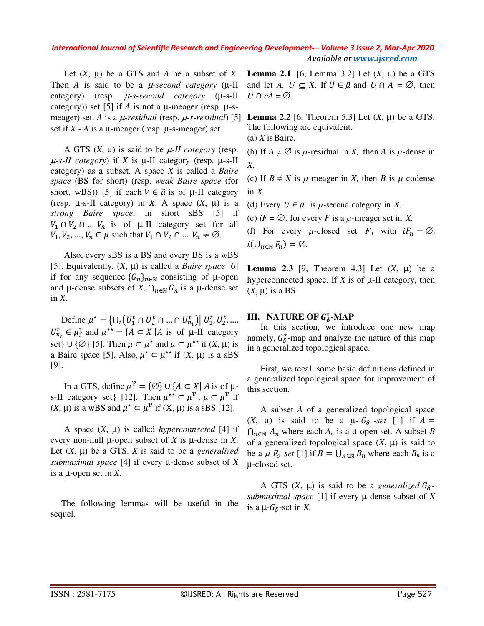Let  $(X, \mu)$  be a GTS and  $A$  be a subset of  $X$ . Then *A* is said to be a  $\mu$ -second category ( $\mu$ -II category) (resp. µ*-s-second category* (µ-s-II category)) set [5] if *A* is not a  $\mu$ -meager (resp.  $\mu$ -smeager) set. *A* is a µ*-residual* (resp. µ*-s-residual*) [5] set if  $X - A$  is a  $\mu$ -meager (resp.  $\mu$ -s-meager) set.

A GTS  $(X, \mu)$  is said to be  $\mu$ -*II category* (resp.  $\mu$ -s-II category) if *X* is  $\mu$ -II category (resp.  $\mu$ -s-II category) as a subset. A space *X* is called a *Baire space* (BS for short) (resp. *weak Baire space* (for short, wBS)) [5] if each  $V \in \tilde{\mu}$  is of  $\mu$ -II category (resp.  $\mu$ -s-II category) in *X*. A space  $(X, \mu)$  is a *strong Baire space*, in short sBS [5] if  $V_1 \cap V_2 \cap ... V_n$  is of  $\mu$ -II category set for all  $V_1, V_2, \ldots, V_n \in \mu$  such that  $V_1 \cap V_2 \cap \ldots V_n \neq \emptyset$ .

Also, every sBS is a BS and every BS is a wBS [5]. Equivalently,  $(X, \mu)$  is called a *Baire space* [6] if for any sequence  ${G_n}_{n \in \mathbb{N}}$  consisting of  $\mu$ -open and  $\mu$ -dense subsets of *X*,  $\bigcap_{n\in\mathbb{N}} G_n$  is a  $\mu$ -dense set in *X*.

Define  $\mu^* = \{U_t \big( U_1^t \cap U_2^t \cap ... \cap U_{n_t}^t \big) \big| U_1^t, U_2^t, ...,$  $U_{n_t}^t \in \mu$  and  $\mu^{**} = \{A \subset X \mid A \text{ is of } \mu\text{-II category}\}$ set}  $\cup \{\emptyset\}$  [5]. Then  $\mu \subset \mu^*$  and  $\mu \subset \mu^{**}$  if  $(X, \mu)$  is a Baire space [5]. Also,  $\mu^* \subset \mu^{**}$  if  $(X, \mu)$  is a sBS [9].

In a GTS, define  $\mu^{\mathcal{V}} = {\{\varnothing\}} \cup {\{A \subset X \mid A \text{ is of } \mu\}}$ s-II category set} [12]. Then  $\mu^{**} \subset \mu^{\mathcal{V}}$ ,  $\mu \subset \mu^{\mathcal{V}}$  if  $(X, \mu)$  is a wBS and  $\mu^* \subset \mu^{\mathcal{V}}$  if  $(X, \mu)$  is a sBS [12].

A space  $(X, \mu)$  is called *hyperconnected* [4] if every non-null  $\mu$ -open subset of *X* is  $\mu$ -dense in *X*. Let  $(X, \mu)$  be a GTS.  $X$  is said to be a *generalized submaximal space* [4] if every µ-dense subset of *X* is a µ-open set in *X*.

The following lemmas will be useful in the sequel.

**Lemma** 2.1. [6, Lemma 3.2] Let  $(X, \mu)$  be a GTS and let *A*,  $U \subseteq X$ . If  $U \in \tilde{\mu}$  and  $U \cap A = \emptyset$ , then *U* ∩ *cA* =  $\emptyset$ .

**Lemma 2.2** [6, Theorem 5.3] Let  $(X, \mu)$  be a GTS. The following are equivalent. (a) *X* is Baire.

(b) If  $A \neq \emptyset$  is  $\mu$ -residual in *X*, then *A* is  $\mu$ -dense in *X.* 

(c) If  $B \neq X$  is  $\mu$ -meager in *X*, then *B* is  $\mu$ -codense in  $X$ .

(d) Every  $U \in \tilde{\mu}$  is  $\mu$ -second category in X.

(e)  $iF = \emptyset$ , for every *F* is a *µ*-meager set in *X*.

(f) For every  $\mu$ -closed set  $F_n$  with  $iF_n = \emptyset$ ,  $i(\bigcup_{n\in\mathbb{N}} F_n) = \emptyset.$ 

**Lemma 2.3** [9, Theorem 4.3] Let  $(X, \mu)$  be a hyperconnected space. If  $X$  is of  $\mu$ -II category, then  $(X, \mu)$  is a BS.

## **III.** NATURE OF  $G^*_{\delta}$ -MAP

In this section, we introduce one new map namely,  $G_{\delta}^*$ -map and analyze the nature of this map in a generalized topological space.

First, we recall some basic definitions defined in a generalized topological space for improvement of this section.

A subset *A* of a generalized topological space  $(X, \mu)$  is said to be a  $\mu$ -  $G_{\delta}$ -set [1] if  $A =$  $\bigcap_{n\in\mathbb{N}}$  *A*<sub>n</sub> where each *A*<sub>n</sub> is a µ-open set. A subset *B* of a generalized topological space  $(X, \mu)$  is said to be a  $\mu$ - $F_{\sigma}$ -set [1] if  $B = \bigcup_{n \in \mathbb{N}} B_n$  where each  $B_n$  is a µ-closed set.

A GTS  $(X, \mu)$  is said to be a *generalized*  $G_{\delta}$ *submaximal space* [1] if every µ-dense subset of *X* is a  $\mu$ - $G_{\delta}$ -set in X.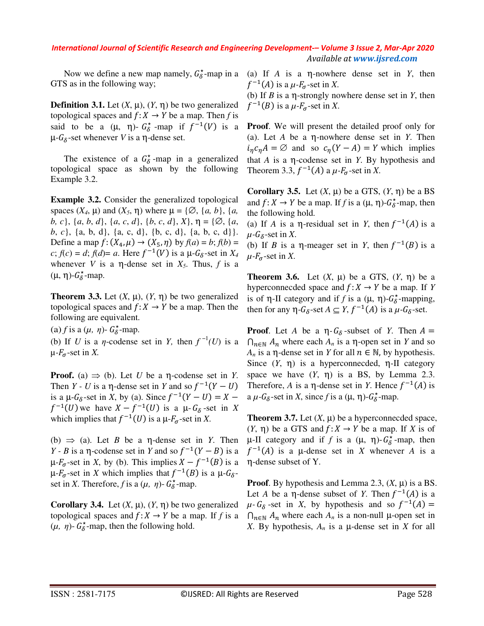Now we define a new map namely,  $G_{\delta}^*$ -map in a GTS as in the following way;

**Definition 3.1.** Let  $(X, \mu)$ ,  $(Y, \eta)$  be two generalized topological spaces and  $f: X \to Y$  be a map. Then *f* is said to be a  $(\mu, \eta)$ -  $G^*_{\delta}$ -map if  $f^{-1}(V)$  is a  $\mu$ -*G*<sub>δ</sub>-set whenever *V* is a η-dense set.

The existence of a  $G^*_{\delta}$ -map in a generalized topological space as shown by the following Example 3.2.

**Example 3.2.** Consider the generalized topological spaces  $(X_4, \mu)$  and  $(X_5, \eta)$  where  $\mu = \{ \emptyset, \{a, b\}, \{a, b\} \}$ *b, c*}, {*a*, *b*, *d*}, {*a*, *c*, *d*}, {*b*, *c*, *d*}, *X*}, η = {∅, {*a*, *b*, *c*}, {a, b, d}, {a, c, d}, {b, c, d}, {a, b, c, d}}. Define a map  $f: (X_4, \mu) \rightarrow (X_5, \eta)$  by  $f(a) = b$ ;  $f(b) =$  $c$ ;  $f(c) = d$ ;  $f(d) = a$ . Here  $f^{-1}(V)$  is a  $\mu$ - $G_{\delta}$ -set in  $X_4$ whenever *V* is a  $\eta$ -dense set in  $X_5$ . Thus, f is a  $(μ, η)-G_δ^*$ -map.

**Theorem 3.3.** Let  $(X, \mu)$ ,  $(Y, \eta)$  be two generalized topological spaces and  $f: X \to Y$  be a map. Then the following are equivalent.

(a) *f* is a ( $\mu$ ,  $\eta$ )-  $G_{\delta}^*$ -map.

(b) If *U* is a *η*-codense set in *Y*, then  $f^{-1}(U)$  is a  $\mu$ - $F_{\sigma}$ -set in X.

**Proof.** (a)  $\Rightarrow$  (b). Let *U* be a  $\eta$ -codense set in *Y*. Then *Y* - *U* is a  $\eta$ -dense set in *Y* and so  $f^{-1}(Y-U)$ is a  $\mu$ - $G_{\delta}$ -set in *X*, by (a). Since  $f^{-1}(Y-U) = X$  $f^{-1}(U)$  we have  $X - f^{-1}(U)$  is a  $\mu$ - $G_{\delta}$ -set in X which implies that  $f^{-1}(U)$  is a  $\mu$ - $F_{\sigma}$ -set in *X*.

(b)  $\Rightarrow$  (a). Let *B* be a  $\eta$ -dense set in *Y*. Then *Y* - *B* is a  $\eta$ -codense set in *Y* and so  $f^{-1}(Y - B)$  is a  $\mu$ - $F_{\sigma}$ -set in *X*, by (b). This implies  $X - f^{-1}(B)$  is a  $\mu$ - $F_{\sigma}$ -set in *X* which implies that  $f^{-1}(B)$  is a  $\mu$ - $G_{\delta}$ set in *X*. Therefore, *f* is a  $(\mu, \eta)$ -  $G_0^*$ -map.

**Corollary 3.4.** Let  $(X, \mu)$ ,  $(Y, \eta)$  be two generalized topological spaces and  $f: X \to Y$  be a map. If f is a  $(\mu, \eta)$ -  $G_{\delta}^*$ -map, then the following hold.

(a) If *A* is a η-nowhere dense set in *Y*, then  $f^{-1}(A)$  is a  $\mu$ - $F_{\sigma}$ -set in *X*.

(b) If *B* is a η-strongly nowhere dense set in *Y*, then  $f^{-1}(B)$  is a  $\mu$ - $F_{\sigma}$ -set in *X*.

**Proof**. We will present the detailed proof only for (a). Let *A* be a η-nowhere dense set in *Y*. Then  $i_{\eta} c_{\eta} A = \emptyset$  and so  $c_{\eta} (Y - A) = Y$  which implies that *A* is a η-codense set in *Y*. By hypothesis and Theorem 3.3,  $f^{-1}(A)$  a  $\mu$ - $F_{\sigma}$ -set in *X*.

**Corollary 3.5.** Let  $(X, \mu)$  be a GTS,  $(Y, \eta)$  be a BS and  $f: X \to Y$  be a map. If f is a  $(\mu, \eta)$ - $G^*_{\delta}$ -map, then the following hold.

(a) If *A* is a  $\eta$ -residual set in *Y*, then  $f^{-1}(A)$  is a  $\mu$ -*G*<sub> $\delta$ </sub>-set in *X*.

(b) If *B* is a  $\eta$ -meager set in *Y*, then  $f^{-1}(B)$  is a  $\mu$ - $F_{\sigma}$ -set in *X*.

**Theorem 3.6.** Let  $(X, \mu)$  be a GTS,  $(Y, \eta)$  be a hyperconnecded space and  $f: X \to Y$  be a map. If *Y* is of  $\eta$ -II category and if *f* is a  $(\mu, \eta)$ - $G^*_{\delta}$ -mapping, then for any  $\eta$ - $G_{\delta}$ -set  $A \subseteq Y$ ,  $f^{-1}(A)$  is a  $\mu$ - $G_{\delta}$ -set.

**Proof.** Let *A* be a  $\eta$ - $G_{\delta}$ -subset of *Y*. Then  $A =$  $\bigcap_{n\in\mathbb{N}} A_n$  where each  $A_n$  is a  $\eta$ -open set in *Y* and so *A<sub>n</sub>* is a η-dense set in *Y* for all  $n ∈ ℕ$ , by hypothesis. Since  $(Y, \eta)$  is a hyperconnecded,  $\eta$ -II category space we have  $(Y, \eta)$  is a BS, by Lemma 2.3. Therefore, *A* is a  $\eta$ -dense set in *Y*. Hence  $f^{-1}(A)$  is a  $\mu$ - $G_{\delta}$ -set in *X*, since *f* is a ( $\mu$ ,  $\eta$ )- $G_{\delta}^*$ -map.

**Theorem 3.7.** Let  $(X, \mu)$  be a hyperconnecded space,  $(Y, \eta)$  be a GTS and  $f: X \to Y$  be a map. If X is of  $\mu$ -II category and if *f* is a (μ, η)- $G^*_{\delta}$ -map, then  $f^{-1}(A)$  is a  $\mu$ -dense set in *X* whenever *A* is a η-dense subset of Y.

**Proof.** By hypothesis and Lemma 2.3,  $(X, \mu)$  is a BS. Let *A* be a  $\eta$ -dense subset of *Y*. Then  $f^{-1}(A)$  is a  $\mu$ -  $G_{\delta}$ -set in *X*, by hypothesis and so  $f^{-1}(A)$  =  $\bigcap_{n\in\mathbb{N}}A_n$  where each  $A_n$  is a non-null  $\mu$ -open set in *X*. By hypothesis,  $A_n$  is a  $\mu$ -dense set in *X* for all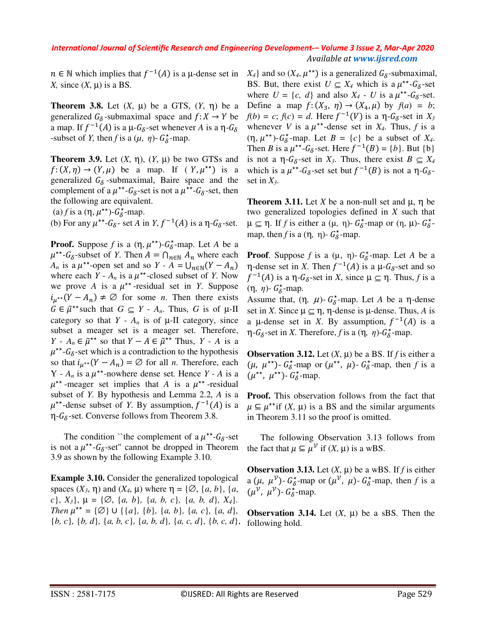$n \in \mathbb{N}$  which implies that  $f^{-1}(A)$  is a  $\mu$ -dense set in *X*, since  $(X, \mu)$  is a BS.

**Theorem 3.8.** Let  $(X, \mu)$  be a GTS,  $(Y, \eta)$  be a generalized  $G_{\delta}$ -submaximal space and  $f: X \to Y$  be a map. If  $f^{-1}(A)$  is a  $\mu$ - $G_{\delta}$ -set whenever A is a  $\eta$ - $G_{\delta}$ -subset of *Y*, then *f* is a  $(\mu, \eta)$ -  $G^*_{\delta}$ -map.

**Theorem 3.9.** Let  $(X, \eta)$ ,  $(Y, \mu)$  be two GTSs and  $f: (X, \eta) \to (Y, \mu)$  be a map. If  $(Y, \mu^{**})$  is a generalized  $G_{\delta}$ -submaximal, Baire space and the complement of a  $\mu^{**}$ - $G_{\delta}$ -set is not a  $\mu^{**}$ - $G_{\delta}$ -set, then the following are equivalent.

(a) *f* is a  $(\eta, \mu^{**})$ - $G^*_{\delta}$ -map.

(b) For any  $\mu^{**}$ - $G_{\delta}$ - set *A* in *Y*,  $f^{-1}(A)$  is a  $\eta$ - $G_{\delta}$ -set.

**Proof.** Suppose *f* is a  $(\eta, \mu^{**})$ - $G^*_{\delta}$ -map. Let *A* be a  $\mu^{**}$ - $G_{\delta}$ -subset of *Y*. Then  $A = \bigcap_{n \in \mathbb{N}} A_n$  where each  $A_n$  is a  $\mu^{**}$ -open set and so  $Y - A = \bigcup_{n \in \mathbb{N}} (Y - A_n)$ where each  $Y - A_n$  is a  $\mu^{**}$ -closed subset of *Y*. Now we prove A is a  $\mu^{**}$ -residual set in *Y*. Suppose  $i_{\mu^{**}}(Y - A_n) \neq \emptyset$  for some *n*. Then there exists  $G \in \tilde{\mu}^{**}$  such that  $G \subseteq Y - A_n$ . Thus, G is of  $\mu$ -II category so that  $Y - A_n$  is of  $\mu$ -II category, since subset a meager set is a meager set. Therefore, *Y* - *A<sub>n</sub>* ∈  $\tilde{\mu}^{**}$  so that *Y* − *A* ∈  $\tilde{\mu}^{**}$  Thus, *Y* - *A* is a  $\mu^{**}$ - $G_{\delta}$ -set which is a contradiction to the hypothesis so that  $i_{\mu^{**}}(Y - A_n) = \emptyset$  for all *n*. Therefore, each  $Y - A_n$  is a  $\mu^{**}$ -nowhere dense set. Hence  $Y - A$  is a  $\mu^{**}$ -meager set implies that *A* is a  $\mu^{**}$ -residual subset of *Y*. By hypothesis and Lemma 2.2, *A* is a  $\mu^{**}$ -dense subset of *Y*. By assumption,  $f^{-1}(A)$  is a  $\eta$ - $G_{\delta}$ -set. Converse follows from Theorem 3.8.

The condition "the complement of a  $\mu^{**}$ - $G_{\delta}$ -set is not a  $\mu^{**}$ - $G_{\delta}$ -set" cannot be dropped in Theorem 3.9 as shown by the following Example 3.10.

**Example 3.10.** Consider the generalized topological spaces  $(X_3, \eta)$  and  $(X_4, \mu)$  where  $\eta = \{\emptyset, \{a, b\}, \{a, b\}\}$ *c*}, *X3*}, µ = {∅, {*a, b*}*,* {*a, b, c*}*,* {*a, b, d*}*, X4*}*. Then*  $\mu^{**} = \{\emptyset\} \cup \{\{a\}, \{b\}, \{a, b\}, \{a, c\}, \{a, d\},\}$ {*b, c*}*,* {*b, d*}*,* {*a, b, c*}*,* {*a, b, d*}*,* {*a, c, d*}*,* {*b, c, d*},

 $X_4$ } and so ( $X_4$ ,  $\mu^{**}$ ) is a generalized  $G_6$ -submaximal, BS. But, there exist  $U \subseteq X_4$  which is a  $\mu^{**}$ - $G_6$ -set where  $U = \{c, d\}$  and also  $X_4$  - U is a  $\mu^{**}$ - $G_6$ -set. Define a map  $f: (X_3, \eta) \to (X_4, \mu)$  by  $f(a) = b$ ;  $f(b) = c$ ;  $f(c) = d$ . Here  $f^{-1}(V)$  is a  $\eta$ - $G_{\delta}$ -set in  $X_{\delta}$ whenever *V* is a  $\mu^{**}$ -dense set in *X<sub>4</sub>*. Thus, *f* is a  $(\eta, \mu^{**})$ - $G^*_{\delta}$ -map. Let  $B = \{c\}$  be a subset of  $X_4$ . Then *B* is a  $\mu^{**}$ -*G*<sub>6</sub>-set. Here  $f^{-1}(B) = \{b\}$ . But  $\{b\}$ is not a  $\eta$ - $G_{\delta}$ -set in  $X_3$ . Thus, there exist  $B \subseteq X_4$ which is a  $\mu^{**}$ - $G_{\delta}$ -set set but  $f^{-1}(B)$  is not a  $\eta$ - $G_{\delta}$ set in *X3*.

**Theorem 3.11.** Let *X* be a non-null set and  $\mu$ ,  $\eta$  be two generalized topologies defined in *X* such that  $\mu \subseteq \eta$ . If *f* is either a ( $\mu$ ,  $\eta$ )-  $G_{\delta}^*$ -map or ( $\eta$ ,  $\mu$ )-  $G_{\delta}^*$ map, then *f* is a  $(\eta, \eta)$ -  $G_{\delta}^*$ -map.

**Proof**. Suppose *f* is a ( $\mu$ ,  $\eta$ )-  $G^*_{\delta}$ -map. Let *A* be a  $η$ -dense set in *X*. Then  $f^{-1}(A)$  is a  $μ$ - $G_δ$ -set and so  $f^{-1}(A)$  is a  $\eta$ - $G_{\delta}$ -set in *X*, since  $\mu \subseteq \eta$ . Thus, *f* is a (η, *η*)-  $G^*_{\delta}$ -map.

Assume that,  $(\eta, \mu)$ -  $G^*_{\delta}$ -map. Let *A* be a  $\eta$ -dense set in *X*. Since  $\mu \subseteq \eta$ ,  $\eta$ -dense is  $\mu$ -dense. Thus, *A* is a  $\mu$ -dense set in *X*. By assumption,  $f^{-1}(A)$  is a  $η$ - $G_{δ}$ -set in *X*. Therefore, *f* is a (η, *η*)- $G_{δ}^{\star}$ -map.

**Observation 3.12.** Let  $(X, \mu)$  be a BS. If *f* is either a  $(\mu, \mu^{**})$ -  $G_{\delta}^*$ -map or  $(\mu^{**}, \mu)$ -  $G_{\delta}^*$ -map, then *f* is a  $(\mu^{\star\star}, \mu^{\star\star})$ -  $G_{\delta}^{\star}$ -map.

**Proof.** This observation follows from the fact that  $\mu \subseteq \mu^{**}$ if (*X*,  $\mu$ ) is a BS and the similar arguments in Theorem 3.11 so the proof is omitted.

The following Observation 3.13 follows from the fact that  $\mu \subseteq \mu^{\mathcal{V}}$  if  $(X, \mu)$  is a wBS.

**Observation 3.13.** Let  $(X, \mu)$  be a wBS. If *f* is either a  $(\mu, \mu^{\nu})$ -  $G_{\delta}^*$ -map or  $(\mu^{\nu}, \mu)$ -  $G_{\delta}^*$ -map, then *f* is a  $(\mu^{\mathcal{V}}, \mu^{\mathcal{V}})$ -  $G^*_{\delta}$ -map.

**Observation 3.14.** Let  $(X, \mu)$  be a sBS. Then the following hold.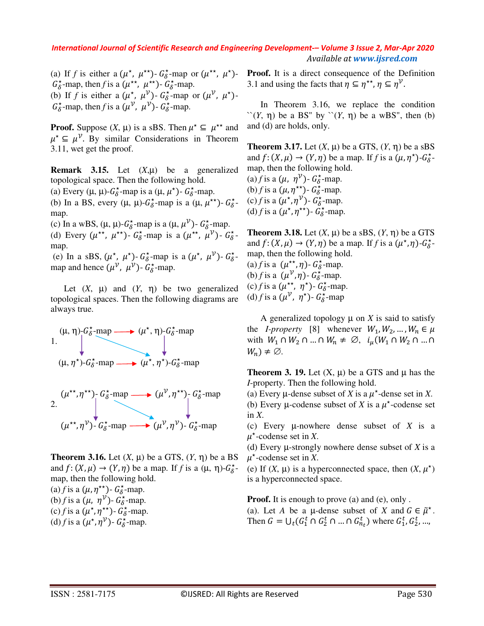(a) If *f* is either a  $(\mu^*, \mu^{**})$ -  $G_{\delta}^*$ -map or  $(\mu^{**}, \mu^*)$ - $G_{\delta}^*$ -map, then *f* is a ( $\mu^{**}$ ,  $\mu^{**}$ ) -  $G_{\delta}^*$ -map. (b) If *f* is either a  $(\mu^*, \mu^{\nu})$ -  $G_{\delta}^*$ -map or  $(\mu^{\nu}, \mu^*)$ - $G_{\delta}^*$ -map, then *f* is a  $(\mu^{\mathcal{V}}, \mu^{\mathcal{V}})$ -  $G_{\delta}^*$ -map.

**Proof.** Suppose  $(X, \mu)$  is a sBS. Then  $\mu^* \subseteq \mu^{**}$  and  $\mu^* \subseteq \mu^{\mathcal{V}}$ . By similar Considerations in Theorem 3.11, wet get the proof.

**Remark 3.15.** Let (*X*,µ) be a generalized topological space. Then the following hold.

(a) Every ( $\mu$ ,  $\mu$ )- $G^*_{\delta}$ -map is a ( $\mu$ ,  $\mu^*$ )- $G^*_{\delta}$ -map.

(b) In a BS, every  $(\mu, \mu)$ - $G^*_{\delta}$ -map is a  $(\mu, \mu^{**})$ -  $G^*_{\delta}$ map.

(c) In a wBS,  $(\mu, \mu)$ - $G_{\delta}^*$ -map is a  $(\mu, \mu^{\mathcal{V}})$ - $G_{\delta}^*$ -map.

(d) Every  $(\mu^{**}, \mu^{**})$ -  $G_{\delta}^*$ -map is a  $(\mu^{**}, \mu^{\mathcal{V}})$ -  $G_{\delta}^*$ map.

(e) In a sBS,  $(\mu^*, \mu^*)$ -  $G_{\delta}^*$ -map is a  $(\mu^*, \mu^{\nu})$ -  $G_{\delta}^*$ map and hence  $(\mu^{\mathcal{V}}, \mu^{\mathcal{V}})$ -  $G^*_{\delta}$ -map.

Let  $(X, \mu)$  and  $(Y, \eta)$  be two generalized topological spaces. Then the following diagrams are always true.





**Theorem 3.16.** Let  $(X, \mu)$  be a GTS,  $(Y, \eta)$  be a BS and  $f: (X, \mu) \to (Y, \eta)$  be a map. If *f* is a  $(\mu, \eta)$ - $G^*_{\delta}$ map, then the following hold. (a) *f* is a  $(\mu, \eta^{**})$ -  $G_{\delta}^{*}$ -map. (b) *f* is a  $(\mu, \eta^{\nu})$ -  $G_{\delta}^*$ -map. (c) *f* is a  $(\mu^*, \eta^{**})$ -  $G^*_{\delta}$ -map. (d) *f* is a  $(\mu^*, \eta^{\mathcal{V}})$ -  $G^*_{\delta}$ -map.

**Proof.** It is a direct consequence of the Definition 3.1 and using the facts that  $\eta \subseteq \eta^{**}$ ,  $\eta \subseteq \eta^{\mathcal{V}}$ .

In Theorem 3.16, we replace the condition  $\lq (Y, \eta)$  be a BS" by  $\lq (Y, \eta)$  be a wBS", then (b) and (d) are holds, only.

**Theorem 3.17.** Let  $(X, \mu)$  be a GTS,  $(Y, \eta)$  be a sBS and  $f: (X, \mu) \to (Y, \eta)$  be a map. If *f* is a  $(\mu, \eta^*)$ - $G^*_{\delta}$ map, then the following hold. (a) *f* is a  $(\mu, \eta^{\mathcal{V}})$ -  $G^*_{\delta}$ -map.

(b) *f* is a  $(\mu, \eta^{**})$ -  $G^*_{\delta}$ -map. (c) *f* is a  $(\mu^*, \eta^{\mathcal{V}})$ -  $G^*_{\delta}$ -map. (d) *f* is a  $(\mu^*, \eta^{**})$ -  $G^*_{\delta}$ -map.

**Theorem 3.18.** Let  $(X, \mu)$  be a sBS,  $(Y, \eta)$  be a GTS and  $f: (X, \mu) \to (Y, \eta)$  be a map. If *f* is a  $(\mu^*, \eta)$ - $G^*_{\delta}$ map, then the following hold.

(a) *f* is a  $(\mu^{\star\star}, \eta)$ -  $G^{\star}_{\delta}$ -map. (b) *f* is a  $(\mu^{\mathcal{V}}, \eta)$ -  $G_{\delta}^*$ -map. (c) *f* is a  $(\mu^{\star\star}, \eta^{\star})$ -  $G_{\delta}^{\star}$ -map. (d) *f* is a  $(\mu^{\mathcal{V}}, \eta^*)$ -  $G_{\delta}^*$ -map

A generalized topology  $\mu$  on *X* is said to satisfy the *I-property* [8] whenever  $W_1, W_2, ..., W_n \in \mu$ with  $W_1 \cap W_2 \cap ... \cap W_n \neq \emptyset$ ,  $i_{\mu}(W_1 \cap W_2 \cap ... \cap$  $W_n$ )  $\neq \emptyset$ .

**Theorem 3. 19.** Let  $(X, \mu)$  be a GTS and  $\mu$  has the *I*-property. Then the following hold.

(a) Every  $\mu$ -dense subset of *X* is a  $\mu^*$ -dense set in *X*.

(b) Every  $\mu$ -codense subset of *X* is a  $\mu^*$ -codense set in *X*.

(c) Every µ-nowhere dense subset of *X* is a  $\mu^*$ -codense set in *X*.

(d) Every µ-strongly nowhere dense subset of *X* is a  $\mu^*$ -codense set in *X*.

(e) If  $(X, \mu)$  is a hyperconnected space, then  $(X, \mu^*)$ is a hyperconnected space.

**Proof.** It is enough to prove (a) and (e), only.

(a). Let *A* be a  $\mu$ -dense subset of *X* and  $G \in \tilde{\mu}^*$ . Then  $G = \bigcup_t (G_1^t \cap G_2^t \cap ... \cap G_{n_t}^t)$  where  $G_1^t, G_2^t, ...,$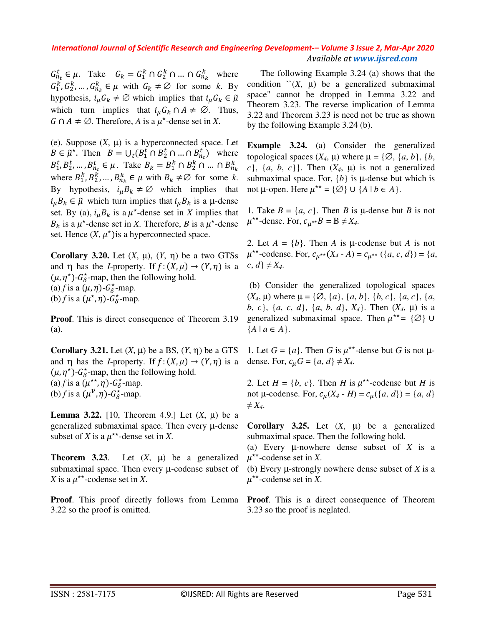$G_{n_k}^t \in \mu$ . Take  $G_k = G_1^k \cap G_2^k \cap ... \cap G_{n_k}^k$  where  $G_1^k, G_2^k, \dots, G_{n_k}^k \in \mu$  with  $G_k \neq \emptyset$  for some k. By hypothesis,  $i_u G_k \neq \emptyset$  which implies that  $i_u G_k \in \tilde{\mu}$ which turn implies that  $i_u G_k \cap A \neq \emptyset$ . Thus,  $G \cap A \neq \emptyset$ . Therefore, A is a  $\mu^*$ -dense set in X.

(e). Suppose  $(X, \mu)$  is a hyperconnected space. Let  $B \in \tilde{\mu}^*$ . Then  $B = \bigcup_t (B_1^t \cap B_2^t \cap ... \cap B_{n_t}^t)$  where  $B_1^t, B_2^t, ..., B_{n_t}^t \in \mu$ . Take  $B_k = B_1^k \cap B_2^k \cap ... \cap B_{n_k}^k$ where  $B_1^k, B_2^k, ..., B_{n_k}^k \in \mu$  with  $B_k \neq \emptyset$  for some k. By hypothesis,  $i_{\mu}B_k \neq \emptyset$  which implies that  $i_{\mu}B_{k} \in \tilde{\mu}$  which turn implies that  $i_{\mu}B_{k}$  is a  $\mu$ -dense set. By (a),  $i_{\mu}B_k$  is a  $\mu^*$ -dense set in *X* implies that  $B_k$  is a  $\mu^*$ -dense set in *X*. Therefore, *B* is a  $\mu^*$ -dense set. Hence  $(X, \mu^*)$  is a hyperconnected space.

**Corollary 3.20.** Let  $(X, \mu)$ ,  $(Y, \eta)$  be a two GTSs and  $\eta$  has the *I*-property. If  $f: (X, \mu) \to (Y, \eta)$  is a  $(\mu, \eta^*)$ - $G^*_{\delta}$ -map, then the following hold. (a) *f* is a  $(\mu, \eta)$ - $G^*_{\delta}$ -map. (b) *f* is a  $(\mu^*, \eta)$ - $G^*_{\delta}$ -map.

**Proof**. This is direct consequence of Theorem 3.19 (a).

**Corollary 3.21.** Let  $(X, \mu)$  be a BS,  $(Y, \eta)$  be a GTS and  $\eta$  has the *I*-property. If  $f: (X, \mu) \to (Y, \eta)$  is a  $(\mu, \eta^*)$ - $G^*_{\delta}$ -map, then the following hold. (a) *f* is a  $(\mu^{**}, \eta)$ - $G^*_{\delta}$ -map. (b) *f* is a  $(\mu^{\mathcal{V}}, \eta)$ - $G^*_{\delta}$ -map.

**Lemma 3.22.** [10, Theorem 4.9.] Let  $(X, \mu)$  be a generalized submaximal space. Then every µ-dense subset of *X* is a  $\mu^{**}$ -dense set in *X*.

**Theorem 3.23.** Let  $(X, \mu)$  be a generalized submaximal space. Then every µ-codense subset of *X* is a  $\mu^{**}$ -codense set in *X*.

**Proof**. This proof directly follows from Lemma 3.22 so the proof is omitted.

The following Example 3.24 (a) shows that the condition  $\checkmark(X, \mu)$  be a generalized submaximal space" cannot be dropped in Lemma 3.22 and Theorem 3.23. The reverse implication of Lemma 3.22 and Theorem 3.23 is need not be true as shown by the following Example 3.24 (b).

**Example 3.24.** (a) Consider the generalized topological spaces  $(X_4, \mu)$  where  $\mu = \{\emptyset, \{a, b\}, \{b, \}$  $c$ }, {*a*, *b*, *c*}}. Then  $(X_4, \mu)$  is not a generalized submaximal space. For,  ${b}$  is  $\mu$ -dense but which is not  $\mu$ -open. Here  $\mu^{**} = \{ \emptyset \} \cup \{ A \mid b \in A \}.$ 

1. Take  $B = \{a, c\}$ . Then *B* is  $\mu$ -dense but *B* is not  $\mu^{**}$ -dense. For,  $c_{\mu^{**}}B = B \neq X_4$ .

2. Let  $A = \{b\}$ . Then *A* is  $\mu$ -codense but *A* is not  $\mu^{**}$ -codense. For,  $c_{\mu^{**}}(X_4 - A) = c_{\mu^{**}}(\{a, c, d\}) = \{a, a\}$  $c, d \nless I \neq X_4$ .

 (b) Consider the generalized topological spaces  $(X_4, \mu)$  where  $\mu = \{\emptyset, \{a\}, \{a, b\}, \{b, c\}, \{a, c\}, \{a, c\}$ *b*, *c*}, {*a*, *c*, *d*}, {*a*, *b*, *d*}, *X4*}. Then (*X4*, µ) is a generalized submaximal space. Then  $\mu^{**} = \{ \emptyset \}$  ∪  ${A \mid a \in A}.$ 

1. Let  $G = \{a\}$ . Then *G* is  $\mu^{**}$ -dense but *G* is not  $\mu$ dense. For,  $c_u G = \{a, d\} \neq X_4$ .

2. Let  $H = \{b, c\}$ . Then *H* is  $\mu^{**}$ -codense but *H* is not  $\mu$ -codense. For,  $c_{\mu}(X_4 - H) = c_{\mu}(\{a, d\}) = \{a, d\}$  $\neq X_4$ .

**Corollary 3.25.** Let  $(X, \mu)$  be a generalized submaximal space. Then the following hold.

(a) Every µ-nowhere dense subset of *X* is a  $\mu^{**}$ -codense set in *X*.

(b) Every µ-strongly nowhere dense subset of *X* is a  $\mu^{**}$ -codense set in *X*.

**Proof**. This is a direct consequence of Theorem 3.23 so the proof is neglated.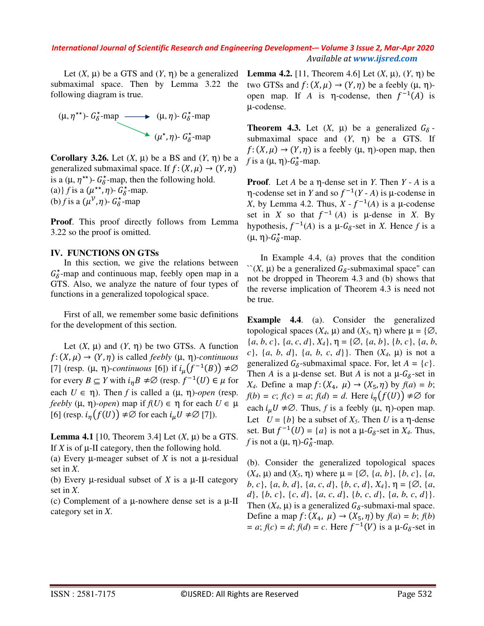Let  $(X, \mu)$  be a GTS and  $(Y, \eta)$  be a generalized submaximal space. Then by Lemma 3.22 the following diagram is true.



**Corollary 3.26.** Let  $(X, \mu)$  be a BS and  $(Y, \eta)$  be a generalized submaximal space. If  $f: (X, \mu) \rightarrow (Y, \eta)$ is a ( $\mu$ ,  $\eta^{\star\star}$ )-  $G_{\delta}^{\star}$ -map, then the following hold. (a) *f* is a  $(\mu^{**}, \eta)$ -  $G_{\delta}^*$ -map. (b) *f* is a  $(\mu^{\mathcal{V}}, \eta)$ -  $G_{\delta}^*$ -map

**Proof**. This proof directly follows from Lemma 3.22 so the proof is omitted.

#### **IV. FUNCTIONS ON GTSs**

In this section, we give the relations between  $G_{\delta}^*$ -map and continuous map, feebly open map in a GTS. Also, we analyze the nature of four types of functions in a generalized topological space.

First of all, we remember some basic definitions for the development of this section.

Let  $(X, \mu)$  and  $(Y, \eta)$  be two GTSs. A function  $f: (X, \mu) \rightarrow (Y, \eta)$  is called *feebly*  $(\mu, \eta)$ *-continuous* [7] (resp.  $(\mu, \eta)$ -*continuous* [6]) if  $i_{\mu}(f^{-1}(B)) \neq \emptyset$ for every  $B \subseteq Y$  with  $i_{\eta} B \neq \emptyset$  (resp.  $f^{-1}(U) \in \mu$  for each  $U \in \eta$ ). Then *f* is called a  $(\mu, \eta)$ -open (resp. *feebly*  $(\mu, \eta)$ *-open*) map if  $f(U) \in \eta$  for each  $U \in \mu$ [6] (resp.  $i_n(f(U)) \neq \emptyset$  for each  $i_u U \neq \emptyset$  [7]).

**Lemma 4.1** [10, Theorem 3.4] Let  $(X, \mu)$  be a GTS. If  $X$  is of  $\mu$ -II category, then the following hold.

(a) Every µ-meager subset of *X* is not a µ-residual set in *X*.

(b) Every µ-residual subset of *X* is a µ-II category set in *X*.

(c) Complement of a  $\mu$ -nowhere dense set is a  $\mu$ -II category set in *X*.

**Lemma 4.2.** [11, Theorem 4.6] Let  $(X, \mu)$ ,  $(Y, \eta)$  be two GTSs and  $f: (X, \mu) \to (Y, \eta)$  be a feebly  $(\mu, \eta)$ open map. If *A* is  $\eta$ -codense, then  $f^{-1}(A)$  is µ-codense.

**Theorem 4.3.** Let  $(X, \mu)$  be a generalized  $G_{\delta}$ submaximal space and  $(Y, \eta)$  be a GTS. If  $f: (X, \mu) \to (Y, \eta)$  is a feebly  $(\mu, \eta)$ -open map, then *f* is a  $(\mu, \eta)$ - $G^*_{\delta}$ -map.

**Proof**. Let *A* be a η-dense set in *Y*. Then *Y* - *A* is a  $\eta$ -codense set in *Y* and so  $f^{-1}(Y - A)$  is  $\mu$ -codense in *X*, by Lemma 4.2. Thus,  $X - f^{-1}(A)$  is a  $\mu$ -codense set in *X* so that  $f^{-1}(A)$  is  $\mu$ -dense in *X*. By hypothesis,  $f^{-1}(A)$  is a  $\mu$ - $G_{\delta}$ -set in *X*. Hence *f* is a  $(μ, η)-*G*<sub>δ</sub><sup>*</sup>-map.$ 

In Example 4.4, (a) proves that the condition  $\int$ (*X*,  $\mu$ ) be a generalized  $G_{\delta}$ -submaximal space" can not be dropped in Theorem 4.3 and (b) shows that the reverse implication of Theorem 4.3 is need not be true.

**Example 4.4.** (a). Consider the generalized topological spaces  $(X_4, \mu)$  and  $(X_5, \eta)$  where  $\mu = \{ \emptyset, \}$ {*a*, *b*, *c*}, {*a*, *c*, *d*}, *X4*}, η = {∅, {*a*, *b*}, {*b*, *c*}, {*a*, *b*, *c*}, {*a*, *b*, *d*}, {*a*, *b*, *c*, *d*}}. Then (*X4*, µ) is not a generalized  $G_{\delta}$ -submaximal space. For, let  $A = \{c\}$ . Then *A* is a  $\mu$ -dense set. But *A* is not a  $\mu$ - $G_{\delta}$ -set in *X*<sub>4</sub>. Define a map  $f: (X_4, \mu) \rightarrow (X_5, \eta)$  by  $f(a) = b$ ;  $f(b) = c$ ;  $f(c) = a$ ;  $f(d) = d$ . Here  $i_n(f(U)) \neq \emptyset$  for each  $i_\mu U \neq \emptyset$ . Thus, *f* is a feebly ( $\mu$ ,  $\eta$ )-open map. Let  $U = \{b\}$  be a subset of  $X_5$ . Then *U* is a  $\eta$ -dense set. But  $f^{-1}(U) = \{a\}$  is not a  $\mu$ - $G_{\delta}$ -set in  $X_4$ . Thus, *f* is not a  $(\mu, \eta)$ - $G^*_{\delta}$ -map.

(b). Consider the generalized topological spaces  $(X_4, \mu)$  and  $(X_5, \eta)$  where  $\mu = \{\emptyset, \{a, b\}, \{b, c\}, \{a, b\}\}$ *b*, *c*}, {*a*, *b*, *d*}, {*a*, *c*, *d*}, {*b*, *c*, *d*}, *X4*}, η = {∅, {*a*, *d*}, {*b*, *c*}, {*c*, *d*}, {*a*, *c*, *d*}, {*b*, *c*, *d*}, {*a*, *b*, *c*, *d*}}. Then  $(X_4, \mu)$  is a generalized  $G_{\delta}$ -submaxi-mal space. Define a map  $f: (X_4, \mu) \rightarrow (X_5, \eta)$  by  $f(a) = b$ ;  $f(b)$  $= a$ ;  $f(c) = d$ ;  $f(d) = c$ . Here  $f^{-1}(V)$  is a  $\mu$ - $G_{\delta}$ -set in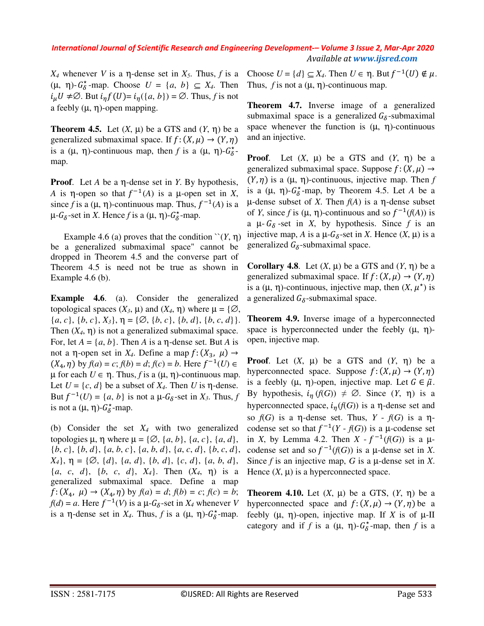*X<sub>4</sub>* whenever *V* is a η-dense set in  $X_5$ . Thus, *f* is a  $(\mu, \eta)$ - $G^*_{\delta}$ -map. Choose  $U = \{a, b\} \subseteq X_4$ . Then  $i_{\mu}U \neq \emptyset$ . But  $i_{\eta}f(U)=i_{\eta}(\{a,b\})=\emptyset$ . Thus, f is not a feebly  $(\mu, \eta)$ -open mapping.

**Theorem 4.5.** Let  $(X, \mu)$  be a GTS and  $(Y, \eta)$  be a generalized submaximal space. If  $f: (X, \mu) \to (Y, \eta)$ is a ( $\mu$ ,  $\eta$ )-continuous map, then *f* is a ( $\mu$ ,  $\eta$ )- $G_6^*$ map.

**Proof**. Let *A* be a η-dense set in *Y*. By hypothesis, A is  $\eta$ -open so that  $f^{-1}(A)$  is a  $\mu$ -open set in *X*, since *f* is a  $(\mu, \eta)$ -continuous map. Thus,  $f^{-1}(A)$  is a  $\mu$ - $G_{\delta}$ -set in *X*. Hence *f* is a  $(\mu, \eta)$ - $G_{\delta}^*$ -map.

Example 4.6 (a) proves that the condition  $\Upsilon(Y, \eta)$ be a generalized submaximal space" cannot be dropped in Theorem 4.5 and the converse part of Theorem 4.5 is need not be true as shown in Example 4.6 (b).

**Example 4.6.** (a). Consider the generalized topological spaces  $(X_3, \mu)$  and  $(X_4, \eta)$  where  $\mu = \{ \emptyset, \}$  ${a, c}, {b, c}, X_3, \eta = {\emptyset, {b, c}, {b, d}, {b, c, d}.$ Then  $(X_4, \eta)$  is not a generalized submaximal space. For, let  $A = \{a, b\}$ . Then *A* is a  $\eta$ -dense set. But *A* is not a η-open set in  $X_4$ . Define a map  $f: (X_3, \mu) \rightarrow$  $(X_4, \eta)$  by  $f(a) = c$ ;  $f(b) = d$ ;  $f(c) = b$ . Here  $f^{-1}(U) \in$  $\mu$  for each  $U \in \eta$ . Thus, f is a  $(\mu, \eta)$ -continuous map. Let  $U = \{c, d\}$  be a subset of  $X_4$ . Then *U* is  $\eta$ -dense. But  $f^{-1}(U) = \{a, b\}$  is not a  $\mu$ - $G_{\delta}$ -set in  $X_3$ . Thus,  $f$ is not a  $(\mu, \eta)$ - $G^*_{\delta}$ -map.

(b) Consider the set  $X_4$  with two generalized topologies  $\mu$ ,  $\eta$  where  $\mu = \{ \emptyset, \{a, b\}, \{a, c\}, \{a, d\},\}$ {*b*, *c*}, {*b*, *d*}, {*a*, *b*, *c*}, {*a*, *b*, *d*}, {*a*, *c*, *d*}, {*b*, *c*, *d*}, *X4*}, η = {∅, {*d*}, {*a*, *d*}, {*b*, *d*}, {*c*, *d*}, {*a*, *b*, *d*}, {*a*, *c*, *d*}, {*b*, *c*, *d*}, *X4*}. Then (*X4*, η) is a generalized submaximal space. Define a map  $f: (X_4, \mu) \to (X_4, \eta)$  by  $f(a) = d$ ;  $f(b) = c$ ;  $f(c) = b$ ;  $f(d) = a$ . Here  $f^{-1}(V)$  is a  $\mu$ - $G_{\delta}$ -set in  $X_4$  whenever  $V$ is a  $\eta$ -dense set in  $X_4$ . Thus, f is a  $(\mu, \eta)$ - $G_6^*$ -map. Choose  $U = \{d\} \subseteq X_4$ . Then  $U \in \eta$ . But  $f^{-1}(U) \notin \mu$ . Thus,  $f$  is not a  $(\mu, \eta)$ -continuous map.

**Theorem 4.7.** Inverse image of a generalized submaximal space is a generalized  $G_{\delta}$ -submaximal space whenever the function is  $(\mu, \eta)$ -continuous and an injective.

**Proof.** Let  $(X, \mu)$  be a GTS and  $(Y, \eta)$  be a generalized submaximal space. Suppose  $f: (X, \mu) \rightarrow$  $(Y, \eta)$  is a  $(\mu, \eta)$ -continuous, injective map. Then *f* is a  $(\mu, \eta)$ - $G^*_{\delta}$ -map, by Theorem 4.5. Let *A* be a µ-dense subset of *X*. Then *f*(*A*) is a η-dense subset of *Y*, since *f* is  $(\mu, \eta)$ -continuous and so  $f^{-1}(f(A))$  is a  $\mu$ -  $G_{\delta}$ -set in *X*, by hypothesis. Since *f* is an injective map, *A* is a  $\mu$ - $G_{\delta}$ -set in *X*. Hence  $(X, \mu)$  is a generalized  $G_{\delta}$ -submaximal space.

**Corollary 4.8.** Let  $(X, \mu)$  be a GTS and  $(Y, \eta)$  be a generalized submaximal space. If  $f: (X, \mu) \to (Y, \eta)$ is a  $(\mu, \eta)$ -continuous, injective map, then  $(X, \mu^*)$  is a generalized  $G_{\delta}$ -submaximal space.

**Theorem 4.9.** Inverse image of a hyperconnected space is hyperconnected under the feebly  $(\mu, \eta)$ open, injective map.

**Proof.** Let  $(X, \mu)$  be a GTS and  $(Y, \eta)$  be a hyperconnected space. Suppose  $f: (X, \mu) \rightarrow (Y, \eta)$ is a feebly  $(\mu, \eta)$ -open, injective map. Let  $G \in \tilde{\mu}$ . By hypothesis,  $i_n(f(G)) \neq \emptyset$ . Since  $(Y, \eta)$  is a hyperconnected space,  $i_n(f(G))$  is a  $\eta$ -dense set and so *f*(*G*) is a η-dense set. Thus, *Y* - *f*(*G*) is a ηcodense set so that  $f^{-1}(Y - f(G))$  is a  $\mu$ -codense set in *X*, by Lemma 4.2. Then  $X - f^{-1}(f(G))$  is a  $\mu$ codense set and so  $f^{-1}(f(G))$  is a  $\mu$ -dense set in *X*. Since *f* is an injective map, *G* is a µ-dense set in *X*. Hence  $(X, \mu)$  is a hyperconnected space.

**Theorem 4.10.** Let  $(X, \mu)$  be a GTS,  $(Y, \eta)$  be a hyperconnected space and  $f: (X, \mu) \to (Y, \eta)$  be a feebly  $(\mu, \eta)$ -open, injective map. If X is of  $\mu$ -II category and if *f* is a  $(\mu, \eta)$ - $G^*_{\delta}$ -map, then *f* is a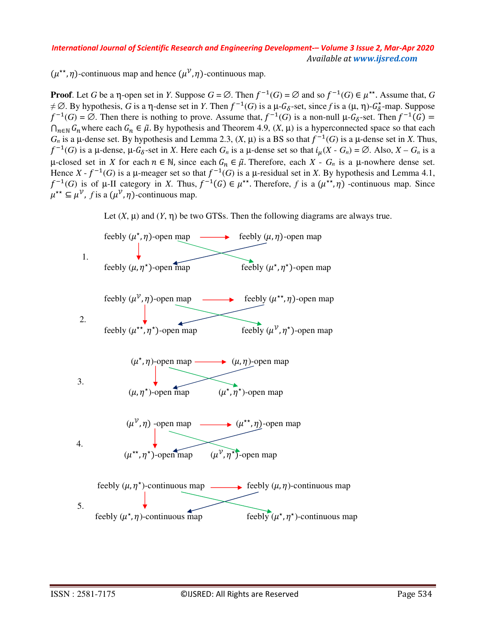$(\mu^{**}, \eta)$ -continuous map and hence  $(\mu^{\nu}, \eta)$ -continuous map.

**Proof**. Let *G* be a  $\eta$ -open set in *Y*. Suppose  $G = \emptyset$ . Then  $f^{-1}(G) = \emptyset$  and so  $f^{-1}(G) \in \mu^{**}$ . Assume that, *G*  $\neq \emptyset$ . By hypothesis, *G* is a  $\eta$ -dense set in *Y*. Then  $f^{-1}(G)$  is a  $\mu$ - $G_{\delta}$ -set, since *f* is a  $(\mu, \eta)$ - $G_{\delta}^*$ -map. Suppose  $f^{-1}(G) = \emptyset$ . Then there is nothing to prove. Assume that,  $f^{-1}(G)$  is a non-null  $\mu$ - $G_{\delta}$ -set. Then  $f^{-1}(G)$  =  $∩_{n∈ ℕ} G_n$  where each  $G_n ∈ \tilde{\mu}$ . By hypothesis and Theorem 4.9,  $(X, μ)$  is a hyperconnected space so that each  $G_n$  is a  $\mu$ -dense set. By hypothesis and Lemma 2.3,  $(X, \mu)$  is a BS so that  $f^{-1}(G)$  is a  $\mu$ -dense set in *X*. Thus,  $f^{-1}(G)$  is a  $\mu$ -dense,  $\mu$ - $G_{\delta}$ -set in *X*. Here each  $G_n$  is a  $\mu$ -dense set so that  $i_{\mu}(X - G_n) = \emptyset$ . Also,  $X - G_n$  is a  $\mu$ -closed set in *X* for each  $n \in \mathbb{N}$ , since each  $G_n \in \tilde{\mu}$ . Therefore, each  $X - G_n$  is a  $\mu$ -nowhere dense set. Hence  $X - f^{-1}(G)$  is a  $\mu$ -meager set so that  $f^{-1}(G)$  is a  $\mu$ -residual set in *X*. By hypothesis and Lemma 4.1,  $f^{-1}(G)$  is of  $\mu$ -II category in *X*. Thus,  $f^{-1}(G) \in \mu^{**}$ . Therefore, f is a  $(\mu^{**}, \eta)$  -continuous map. Since  $\mu^{**} \subseteq \mu^{\mathcal{V}}$ , *f* is a  $(\mu^{\mathcal{V}}, \eta)$ -continuous map.



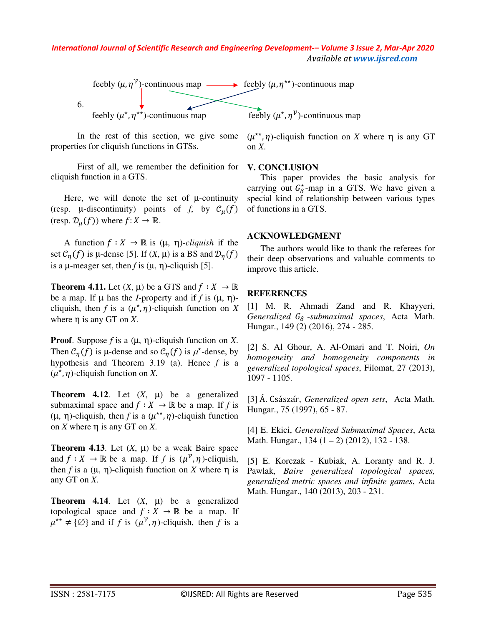

In the rest of this section, we give some properties for cliquish functions in GTSs.

First of all, we remember the definition for cliquish function in a GTS.

Here, we will denote the set of  $\mu$ -continuity (resp.  $\mu$ -discontinuity) points of *f*, by  $\mathcal{C}_\mu(f)$ (resp.  $\mathcal{D}_u(f)$ ) where  $f: X \to \mathbb{R}$ .

A function  $f : X \to \mathbb{R}$  is  $(\mu, \eta)$ -*cliquish* if the set  $C_n(f)$  is  $\mu$ -dense [5]. If  $(X, \mu)$  is a BS and  $\mathcal{D}_n(f)$ is a  $\mu$ -meager set, then *f* is  $(\mu, \eta)$ -cliquish [5].

**Theorem 4.11.** Let  $(X, \mu)$  be a GTS and  $f : X \to \mathbb{R}$ be a map. If  $\mu$  has the *I*-property and if *f* is  $(\mu, \eta)$ cliquish, then *f* is a  $(\mu^*, \eta)$ -cliquish function on *X* where η is any GT on *X*.

**Proof**. Suppose *f* is a (µ, η)-cliquish function on *X*. Then  $C_{\eta}(f)$  is  $\mu$ -dense and so  $C_{\eta}(f)$  is  $\mu^*$ -dense, by hypothesis and Theorem 3.19 (a). Hence *f* is a  $(\mu^*, \eta)$ -cliquish function on *X*.

**Theorem 4.12.** Let  $(X, \mu)$  be a generalized submaximal space and  $f : X \to \mathbb{R}$  be a map. If *f* is ( $\mu$ ,  $\eta$ )-cliquish, then *f* is a ( $\mu^{**}$ ,  $\eta$ )-cliquish function on *X* where η is any GT on *X*.

**Theorem 4.13**. Let  $(X, \mu)$  be a weak Baire space and  $f: X \to \mathbb{R}$  be a map. If f is  $(\mu^{\mathcal{V}}, \eta)$ -cliquish, then *f* is a (μ, η)-cliquish function on *X* where η is any GT on *X*.

**Theorem 4.14.** Let  $(X, \mu)$  be a generalized topological space and  $f : X \to \mathbb{R}$  be a map. If  $\mu^{**} \neq \{\emptyset\}$  and if *f* is  $(\mu^{\mathcal{V}}, \eta)$ -cliquish, then *f* is a

 $(\mu^{**}, \eta)$ -cliquish function on *X* where  $\eta$  is any GT on *X*.

#### **V. CONCLUSION**

This paper provides the basic analysis for carrying out  $G^*_{\delta}$ -map in a GTS. We have given a special kind of relationship between various types of functions in a GTS.

#### **ACKNOWLEDGMENT**

The authors would like to thank the referees for their deep observations and valuable comments to improve this article.

#### **REFERENCES**

[1] M. R. Ahmadi Zand and R. Khayyeri,  $Generalized G_{\delta}$ -submaximal spaces, Acta Math. Hungar., 149 (2) (2016), 274 - 285.

[2] S. Al Ghour, A. Al-Omari and T. Noiri, *On homogeneity and homogeneity components in generalized topological spaces*, Filomat, 27 (2013), 1097 - 1105.

[3] Á. Császar, *Generalized open sets*, Acta Math. Hungar., 75 (1997), 65 - 87.

[4] E. Ekici, *Generalized Submaximal Spaces*, Acta Math. Hungar., 134 (1 – 2) (2012), 132 - 138.

[5] E. Korczak - Kubiak, A. Loranty and R. J. Pawlak, *Baire generalized topological spaces, generalized metric spaces and infinite games*, Acta Math. Hungar., 140 (2013), 203 - 231.